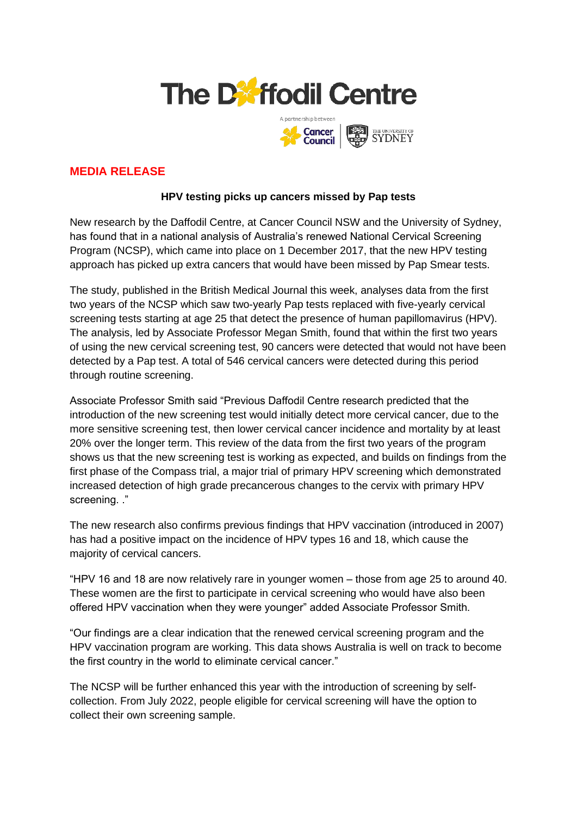



# **MEDIA RELEASE**

## **HPV testing picks up cancers missed by Pap tests**

New research by the Daffodil Centre, at Cancer Council NSW and the University of Sydney, has found that in a national analysis of Australia's renewed National Cervical Screening Program (NCSP), which came into place on 1 December 2017, that the new HPV testing approach has picked up extra cancers that would have been missed by Pap Smear tests.

The study, published in the British Medical Journal this week, analyses data from the first two years of the NCSP which saw two-yearly Pap tests replaced with five-yearly cervical screening tests starting at age 25 that detect the presence of human papillomavirus (HPV). The analysis, led by Associate Professor Megan Smith, found that within the first two years of using the new cervical screening test, 90 cancers were detected that would not have been detected by a Pap test. A total of 546 cervical cancers were detected during this period through routine screening.

Associate Professor Smith said "Previous Daffodil Centre research predicted that the introduction of the new screening test would initially detect more cervical cancer, due to the more sensitive screening test, then lower cervical cancer incidence and mortality by at least 20% over the longer term. This review of the data from the first two years of the program shows us that the new screening test is working as expected, and builds on findings from the first phase of the Compass trial, a major trial of primary HPV screening which demonstrated increased detection of high grade precancerous changes to the cervix with primary HPV screening. ."

The new research also confirms previous findings that HPV vaccination (introduced in 2007) has had a positive impact on the incidence of HPV types 16 and 18, which cause the majority of cervical cancers.

"HPV 16 and 18 are now relatively rare in younger women – those from age 25 to around 40. These women are the first to participate in cervical screening who would have also been offered HPV vaccination when they were younger" added Associate Professor Smith.

"Our findings are a clear indication that the renewed cervical screening program and the HPV vaccination program are working. This data shows Australia is well on track to become the first country in the world to eliminate cervical cancer."

The NCSP will be further enhanced this year with the introduction of screening by selfcollection. From July 2022, people eligible for cervical screening will have the option to collect their own screening sample.